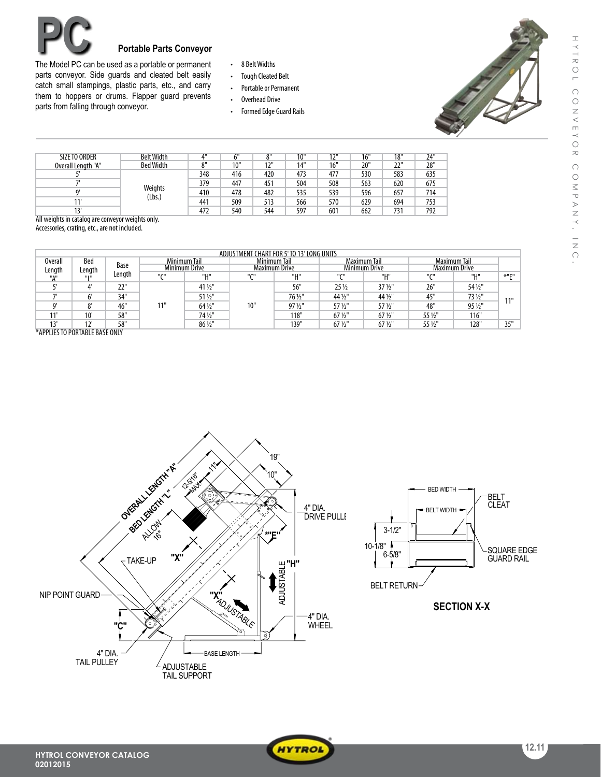

## **Portable Parts Conveyor**

The Model PC can be used as a portable or permanent parts conveyor. Side guards and cleated belt easily catch small stampings, plastic parts, etc., and carry them to hoppers or drums. Flapper guard prevents parts from falling through conveyor.

- • 8 BeltWidths
- • Tough Cleated Belt
- Portable or Permanent
- • Overhead Drive
- Formed Edge Guard Rails



| <b>SIZE TO ORDER</b> | <b>Belt Width</b> | $A$ <sub>II</sub> |     | $^{\circ}$ | 10" | 121 | 16" | 18" | 24" |
|----------------------|-------------------|-------------------|-----|------------|-----|-----|-----|-----|-----|
| Overall Length "A"   | <b>Bed Width</b>  | $0$ <sup>11</sup> | 10" | 12'        | 14" | 16" | 20" | 22" | 28" |
|                      | Weights<br>(Lbs.) | 348               | 416 | 420        | 473 | 477 | 530 | 583 | 635 |
|                      |                   | 379               | 447 | 451        | 504 | 508 | 563 | 620 | 675 |
|                      |                   | 410               | 478 | 482        | 535 | 539 | 596 | 657 | 714 |
|                      |                   | 441               | 509 | 513        | 566 | 570 | 629 | 694 | 753 |
|                      |                   | 472               | 540 | 544        | 597 | 601 | 662 | 731 | 792 |

All weights in catalog are conveyor weights only.

Accessories, crating, etc., are not included.

| ADJUSTMENT CHART FOR 5' TO 13' LONG UNITS     |                               |        |                                      |         |                                      |         |                                             |                   |                |         |         |
|-----------------------------------------------|-------------------------------|--------|--------------------------------------|---------|--------------------------------------|---------|---------------------------------------------|-------------------|----------------|---------|---------|
| Bed<br>Overall<br>Base<br>Length<br>Length    | Minimum Tail<br>Minimum Drive |        | Minimum Tail<br><b>Maximum Drive</b> |         | Maximum Tail<br><b>Minimum Drive</b> |         | <b>Maximum Tail</b><br><b>Maximum Drive</b> |                   |                |         |         |
| "А"                                           | 11111                         | Length | $^{\prime\prime}$ CH                 | "Н"     | $^{\prime\prime}$ CH                 | "Н"     | $^{\prime\prime}$ C $^{\prime\prime}$       | "Н"               | $n_{\text{C}}$ | "и"     | $*$ "C" |
|                                               |                               | 22"    |                                      | 41 1/2" | 10"                                  | 56"     | $25\frac{1}{2}$                             | $37\frac{1}{2}$   | 26"            | 54 1/2" | 111     |
|                                               |                               | 34"    |                                      | 51 1/2" |                                      | 76 1/2" | 44 1/2"                                     | 44 1/2"           | 45"            | 73 1/2" |         |
|                                               | 0 <sup>1</sup>                | 46"    | 11"                                  | 64 1/2" |                                      | 97 1/2" | 57 1/2"                                     | 57 1/2"           | 48"            | 95 1/2" |         |
| 11                                            | 10'                           | 58"    |                                      | 74 1/2" |                                      | 118"    | $67\frac{1}{2}$ "                           | 67 1/2"           | 55 1/2"        | 116"    |         |
| 12'<br>$X$ <b>ADDUECTO DODTADLE DACE OUUV</b> | 12'                           | 58"    |                                      | 86 1/2" |                                      | 139"    | $67\frac{1}{2}$ "                           | $67\frac{1}{2}$ " | 55 1/2"        | 128"    | 35"     |

\*APPLIESTO PORTABLE BASE ONLY